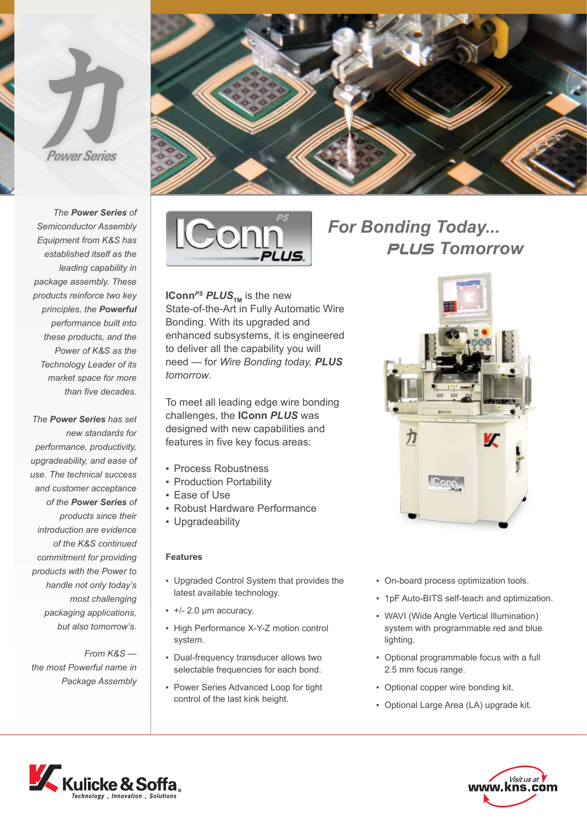

*The Power Series of Semiconductor Assembly Equipment from K&S has established itself as the leading capability in package assembly. These products reinforce two key principles, the Powerful performance built into these products, and the Power of K&S as the Technology Leader of its market space for more than five decades.*

*The Power Series has set new standards for performance, productivity, upgradeability, and ease of use. The technical success and customer acceptance of the Power Series of products since their introduction are evidence of the K&S continued commitment for providing products with the Power to handle not only today's most challenging packaging applications, but also tomorrow's.*

*From K&S the most Powerful name in Package Assembly*





**IConn<sup>PS</sup> PLUS<sub>TM</sub>** is the new State-of-the-Art in Fully Automatic Wire Bonding. With its upgraded and enhanced subsystems, it is engineered to deliver all the capability you will need — for *Wire Bonding today, PLUS tomorrow*.

To meet all leading edge wire bonding challenges, the **IConn** *PLUS* was designed with new capabilities and features in five key focus areas:

- Process Robustness
- **Production Portability**
- Ease of Use
- Robust Hardware Performance
- Upgradeability

## **Features**

- Upgraded Control System that provides the latest available technology.
- $+/- 2.0 \mu m$  accuracy.
- High Performance X-Y-Z motion control system.
- Dual-frequency transducer allows two selectable frequencies for each bond.
- Power Series Advanced Loop for tight control of the last kink height.

## *For Bonding Today... Tomorrow*



- On-board process optimization tools.
- **1pF Auto-BITS self-teach and optimization.**
- WAVI (Wide Angle Vertical Illumination) system with programmable red and blue lighting.
- Optional programmable focus with a full 2.5 mm focus range.
- Optional copper wire bonding kit.
- Optional Large Area (LA) upgrade kit.